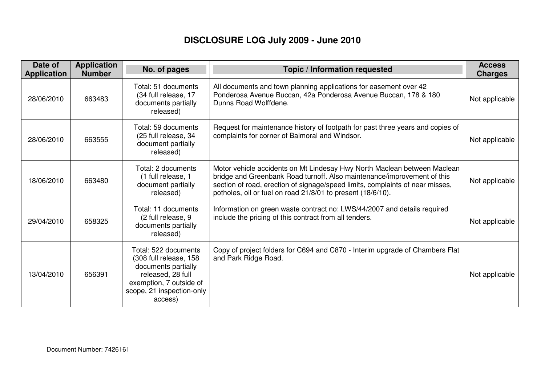## **DISCLOSURE LOG July 2009 - June 2010**

| Date of<br><b>Application</b> | <b>Application</b><br><b>Number</b> | No. of pages                                                                                                                                                  | Topic / Information requested                                                                                                                                                                                                                                                                       | <b>Access</b><br><b>Charges</b> |
|-------------------------------|-------------------------------------|---------------------------------------------------------------------------------------------------------------------------------------------------------------|-----------------------------------------------------------------------------------------------------------------------------------------------------------------------------------------------------------------------------------------------------------------------------------------------------|---------------------------------|
| 28/06/2010                    | 663483                              | Total: 51 documents<br>(34 full release, 17<br>documents partially<br>released)                                                                               | All documents and town planning applications for easement over 42<br>Ponderosa Avenue Buccan, 42a Ponderosa Avenue Buccan, 178 & 180<br>Dunns Road Wolffdene.                                                                                                                                       | Not applicable                  |
| 28/06/2010                    | 663555                              | Total: 59 documents<br>(25 full release, 34<br>document partially<br>released)                                                                                | Request for maintenance history of footpath for past three years and copies of<br>complaints for corner of Balmoral and Windsor.                                                                                                                                                                    | Not applicable                  |
| 18/06/2010                    | 663480                              | Total: 2 documents<br>(1 full release, 1<br>document partially<br>released)                                                                                   | Motor vehicle accidents on Mt Lindesay Hwy North Maclean between Maclean<br>bridge and Greenbank Road turnoff. Also maintenance/improvement of this<br>section of road, erection of signage/speed limits, complaints of near misses,<br>potholes, oil or fuel on road 21/8/01 to present (18/6/10). | Not applicable                  |
| 29/04/2010                    | 658325                              | Total: 11 documents<br>(2 full release, 9<br>documents partially<br>released)                                                                                 | Information on green waste contract no: LWS/44/2007 and details required<br>include the pricing of this contract from all tenders.                                                                                                                                                                  | Not applicable                  |
| 13/04/2010                    | 656391                              | Total: 522 documents<br>(308 full release, 158<br>documents partially<br>released, 28 full<br>exemption, 7 outside of<br>scope, 21 inspection-only<br>access) | Copy of project folders for C694 and C870 - Interim upgrade of Chambers Flat<br>and Park Ridge Road.                                                                                                                                                                                                | Not applicable                  |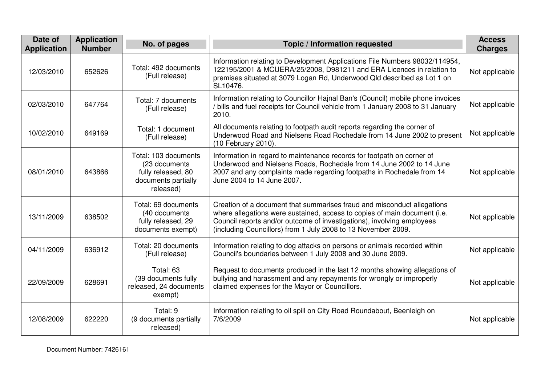| Date of<br><b>Application</b> | <b>Application</b><br><b>Number</b> | No. of pages                                                                                     | Topic / Information requested                                                                                                                                                                                                                                                                   | <b>Access</b><br><b>Charges</b> |
|-------------------------------|-------------------------------------|--------------------------------------------------------------------------------------------------|-------------------------------------------------------------------------------------------------------------------------------------------------------------------------------------------------------------------------------------------------------------------------------------------------|---------------------------------|
| 12/03/2010                    | 652626                              | Total: 492 documents<br>(Full release)                                                           | Information relating to Development Applications File Numbers 98032/114954,<br>122195/2001 & MCUERA/25/2008, D981211 and ERA Licences in relation to<br>premises situated at 3079 Logan Rd, Underwood Qld described as Lot 1 on<br>SL10476.                                                     | Not applicable                  |
| 02/03/2010                    | 647764                              | Total: 7 documents<br>(Full release)                                                             | Information relating to Councillor Hajnal Ban's (Council) mobile phone invoices<br>/ bills and fuel receipts for Council vehicle from 1 January 2008 to 31 January<br>2010.                                                                                                                     | Not applicable                  |
| 10/02/2010                    | 649169                              | Total: 1 document<br>(Full release)                                                              | All documents relating to footpath audit reports regarding the corner of<br>Underwood Road and Nielsens Road Rochedale from 14 June 2002 to present<br>(10 February 2010).                                                                                                                      | Not applicable                  |
| 08/01/2010                    | 643866                              | Total: 103 documents<br>(23 documents)<br>fully released, 80<br>documents partially<br>released) | Information in regard to maintenance records for footpath on corner of<br>Underwood and Nielsens Roads, Rochedale from 14 June 2002 to 14 June<br>2007 and any complaints made regarding footpaths in Rochedale from 14<br>June 2004 to 14 June 2007.                                           | Not applicable                  |
| 13/11/2009                    | 638502                              | Total: 69 documents<br>(40 documents<br>fully released, 29<br>documents exempt)                  | Creation of a document that summarises fraud and misconduct allegations<br>where allegations were sustained, access to copies of main document (i.e.<br>Council reports and/or outcome of investigations), involving employees<br>(including Councillors) from 1 July 2008 to 13 November 2009. | Not applicable                  |
| 04/11/2009                    | 636912                              | Total: 20 documents<br>(Full release)                                                            | Information relating to dog attacks on persons or animals recorded within<br>Council's boundaries between 1 July 2008 and 30 June 2009.                                                                                                                                                         | Not applicable                  |
| 22/09/2009                    | 628691                              | Total: 63<br>(39 documents fully<br>released, 24 documents<br>exempt)                            | Request to documents produced in the last 12 months showing allegations of<br>bullying and harassment and any repayments for wrongly or improperly<br>claimed expenses for the Mayor or Councillors.                                                                                            | Not applicable                  |
| 12/08/2009                    | 622220                              | Total: 9<br>(9 documents partially<br>released)                                                  | Information relating to oil spill on City Road Roundabout, Beenleigh on<br>7/6/2009                                                                                                                                                                                                             | Not applicable                  |